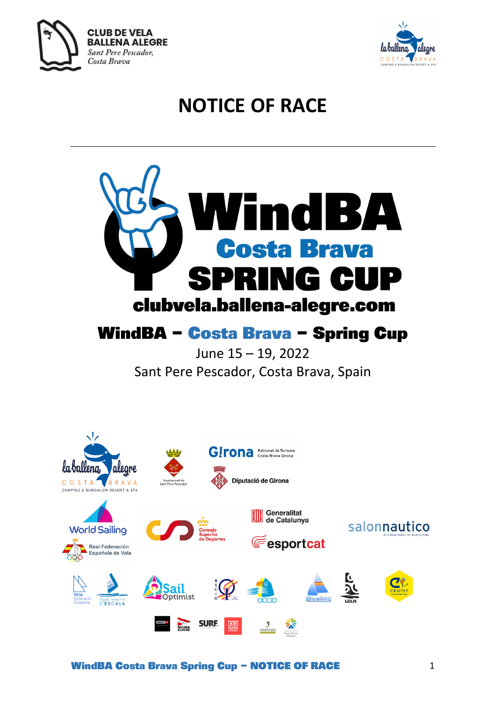



# **NOTICE OF RACE**

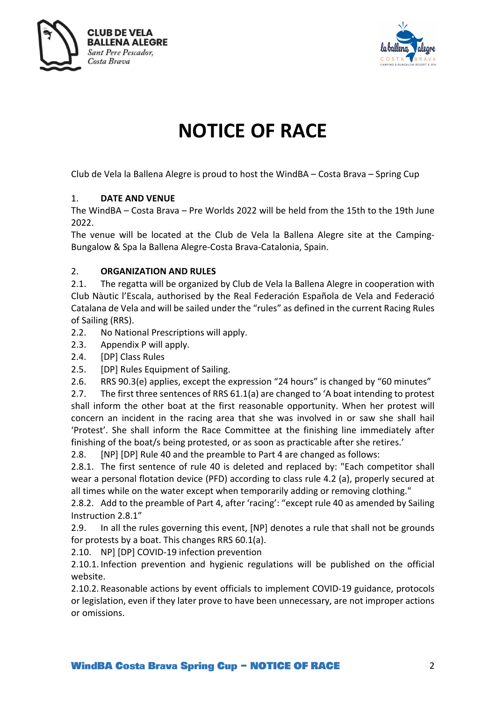



## **NOTICE OF RACE**

Club de Vela la Ballena Alegre is proud to host the WindBA – Costa Brava – Spring Cup

## 1. **DATE AND VENUE**

The WindBA – Costa Brava – Pre Worlds 2022 will be held from the 15th to the 19th June 2022.

The venue will be located at the Club de Vela la Ballena Alegre site at the Camping-Bungalow & Spa la Ballena Alegre-Costa Brava-Catalonia, Spain.

## 2. **ORGANIZATION AND RULES**

2.1. The regatta will be organized by Club de Vela la Ballena Alegre in cooperation with Club Nàutic l'Escala, authorised by the Real Federación Española de Vela and Federació Catalana de Vela and will be sailed under the "rules" as defined in the current Racing Rules of Sailing (RRS).

- 2.2. No National Prescriptions will apply.
- 2.3. Appendix P will apply.
- 2.4. [DP] Class Rules
- 2.5. [DP] Rules Equipment of Sailing.
- 2.6. RRS 90.3(e) applies, except the expression "24 hours" is changed by "60 minutes"

2.7. The first three sentences of RRS 61.1(a) are changed to 'A boat intending to protest shall inform the other boat at the first reasonable opportunity. When her protest will concern an incident in the racing area that she was involved in or saw she shall hail 'Protest'. She shall inform the Race Committee at the finishing line immediately after finishing of the boat/s being protested, or as soon as practicable after she retires.'

2.8. [NP] [DP] Rule 40 and the preamble to Part 4 are changed as follows:

2.8.1. The first sentence of rule 40 is deleted and replaced by: "Each competitor shall wear a personal flotation device (PFD) according to class rule 4.2 (a), properly secured at all times while on the water except when temporarily adding or removing clothing."

2.8.2. Add to the preamble of Part 4, after 'racing': "except rule 40 as amended by Sailing Instruction 2.8.1"

2.9. In all the rules governing this event, [NP] denotes a rule that shall not be grounds for protests by a boat. This changes RRS 60.1(a).

2.10. NP] [DP] COVID-19 infection prevention

2.10.1. Infection prevention and hygienic regulations will be published on the official website.

2.10.2. Reasonable actions by event officials to implement COVID-19 guidance, protocols or legislation, even if they later prove to have been unnecessary, are not improper actions or omissions.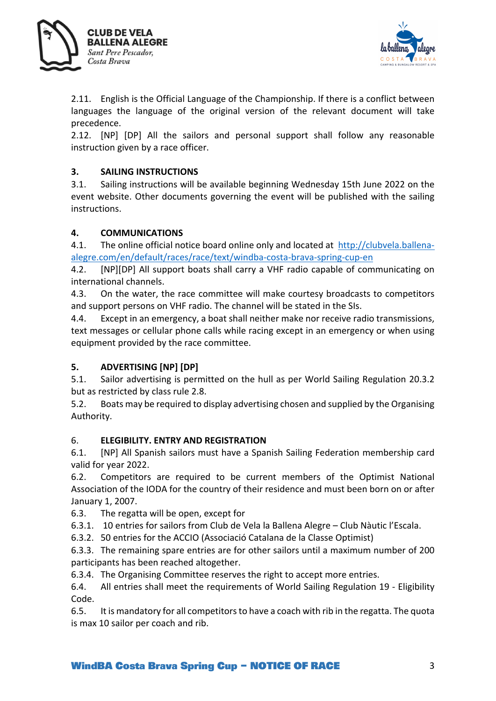



2.11. English is the Official Language of the Championship. If there is a conflict between languages the language of the original version of the relevant document will take precedence.

2.12. [NP] [DP] All the sailors and personal support shall follow any reasonable instruction given by a race officer.

## **3. SAILING INSTRUCTIONS**

3.1. Sailing instructions will be available beginning Wednesday 15th June 2022 on the event website. Other documents governing the event will be published with the sailing instructions.

## **4. COMMUNICATIONS**

4.1. The online official notice board online only and located at http://clubvela.ballenaalegre.com/en/default/races/race/text/windba-costa-brava-spring-cup-en

4.2. [NP][DP] All support boats shall carry a VHF radio capable of communicating on international channels.

4.3. On the water, the race committee will make courtesy broadcasts to competitors and support persons on VHF radio. The channel will be stated in the SIs.

4.4. Except in an emergency, a boat shall neither make nor receive radio transmissions, text messages or cellular phone calls while racing except in an emergency or when using equipment provided by the race committee.

## **5. ADVERTISING [NP] [DP]**

5.1. Sailor advertising is permitted on the hull as per World Sailing Regulation 20.3.2 but as restricted by class rule 2.8.

5.2. Boats may be required to display advertising chosen and supplied by the Organising Authority.

## 6. **ELEGIBILITY. ENTRY AND REGISTRATION**

6.1. [NP] All Spanish sailors must have a Spanish Sailing Federation membership card valid for year 2022.

6.2. Competitors are required to be current members of the Optimist National Association of the IODA for the country of their residence and must been born on or after January 1, 2007.

6.3. The regatta will be open, except for

6.3.1. 10 entries for sailors from Club de Vela la Ballena Alegre – Club Nàutic l'Escala.

6.3.2. 50 entries for the ACCIO (Associació Catalana de la Classe Optimist)

6.3.3. The remaining spare entries are for other sailors until a maximum number of 200 participants has been reached altogether.

6.3.4. The Organising Committee reserves the right to accept more entries.

6.4. All entries shall meet the requirements of World Sailing Regulation 19 - Eligibility Code.

6.5. It is mandatory for all competitors to have a coach with rib in the regatta. The quota is max 10 sailor per coach and rib.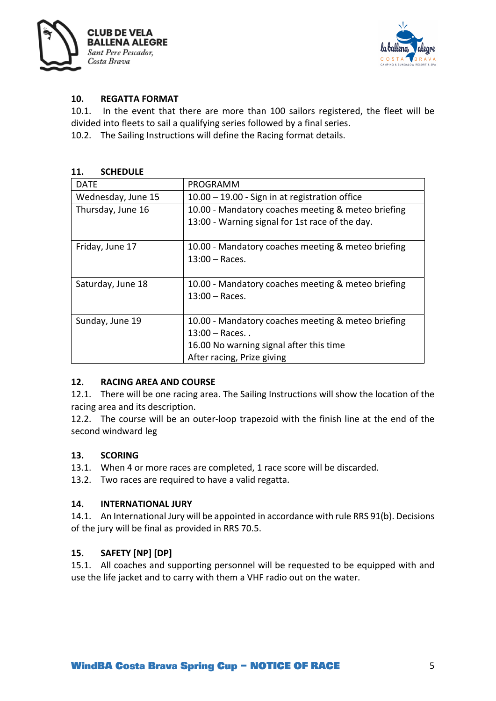



## **10. REGATTA FORMAT**

10.1. In the event that there are more than 100 sailors registered, the fleet will be divided into fleets to sail a qualifying series followed by a final series.

10.2. The Sailing Instructions will define the Racing format details.

#### **11. SCHEDULE**

| DATE               | PROGRAMM                                           |
|--------------------|----------------------------------------------------|
| Wednesday, June 15 | 10.00 - 19.00 - Sign in at registration office     |
| Thursday, June 16  | 10.00 - Mandatory coaches meeting & meteo briefing |
|                    | 13:00 - Warning signal for 1st race of the day.    |
| Friday, June 17    | 10.00 - Mandatory coaches meeting & meteo briefing |
|                    | $13:00 - Races.$                                   |
|                    |                                                    |
| Saturday, June 18  | 10.00 - Mandatory coaches meeting & meteo briefing |
|                    | $13:00 - Races.$                                   |
|                    |                                                    |
| Sunday, June 19    | 10.00 - Mandatory coaches meeting & meteo briefing |
|                    | $13:00 - Races.$ .                                 |
|                    | 16.00 No warning signal after this time            |
|                    | After racing, Prize giving                         |

## **12. RACING AREA AND COURSE**

12.1. There will be one racing area. The Sailing Instructions will show the location of the racing area and its description.

12.2. The course will be an outer-loop trapezoid with the finish line at the end of the second windward leg

#### **13. SCORING**

- 13.1. When 4 or more races are completed, 1 race score will be discarded.
- 13.2. Two races are required to have a valid regatta.

#### **14. INTERNATIONAL JURY**

14.1. An International Jury will be appointed in accordance with rule RRS 91(b). Decisions of the jury will be final as provided in RRS 70.5.

## **15. SAFETY [NP] [DP]**

15.1. All coaches and supporting personnel will be requested to be equipped with and use the life jacket and to carry with them a VHF radio out on the water.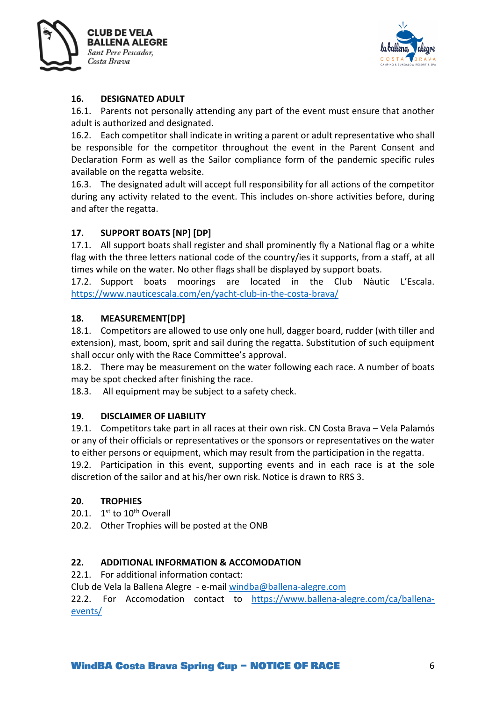



## **16. DESIGNATED ADULT**

16.1. Parents not personally attending any part of the event must ensure that another adult is authorized and designated.

16.2. Each competitor shall indicate in writing a parent or adult representative who shall be responsible for the competitor throughout the event in the Parent Consent and Declaration Form as well as the Sailor compliance form of the pandemic specific rules available on the regatta website.

16.3. The designated adult will accept full responsibility for all actions of the competitor during any activity related to the event. This includes on-shore activities before, during and after the regatta.

## **17. SUPPORT BOATS [NP] [DP]**

17.1. All support boats shall register and shall prominently fly a National flag or a white flag with the three letters national code of the country/ies it supports, from a staff, at all times while on the water. No other flags shall be displayed by support boats.

17.2. Support boats moorings are located in the Club Nàutic L'Escala. https://www.nauticescala.com/en/yacht-club-in-the-costa-brava/

## **18. MEASUREMENT[DP]**

18.1. Competitors are allowed to use only one hull, dagger board, rudder (with tiller and extension), mast, boom, sprit and sail during the regatta. Substitution of such equipment shall occur only with the Race Committee's approval.

18.2. There may be measurement on the water following each race. A number of boats may be spot checked after finishing the race.

18.3. All equipment may be subject to a safety check.

#### **19. DISCLAIMER OF LIABILITY**

19.1. Competitors take part in all races at their own risk. CN Costa Brava – Vela Palamós or any of their officials or representatives or the sponsors or representatives on the water to either persons or equipment, which may result from the participation in the regatta. 19.2. Participation in this event, supporting events and in each race is at the sole

discretion of the sailor and at his/her own risk. Notice is drawn to RRS 3.

#### **20. TROPHIES**

20.1.  $1^{st}$  to  $10^{th}$  Overall

20.2. Other Trophies will be posted at the ONB

#### **22. ADDITIONAL INFORMATION & ACCOMODATION**

22.1. For additional information contact:

Club de Vela la Ballena Alegre - e-mail windba@ballena-alegre.com

22.2. For Accomodation contact to https://www.ballena-alegre.com/ca/ballenaevents/